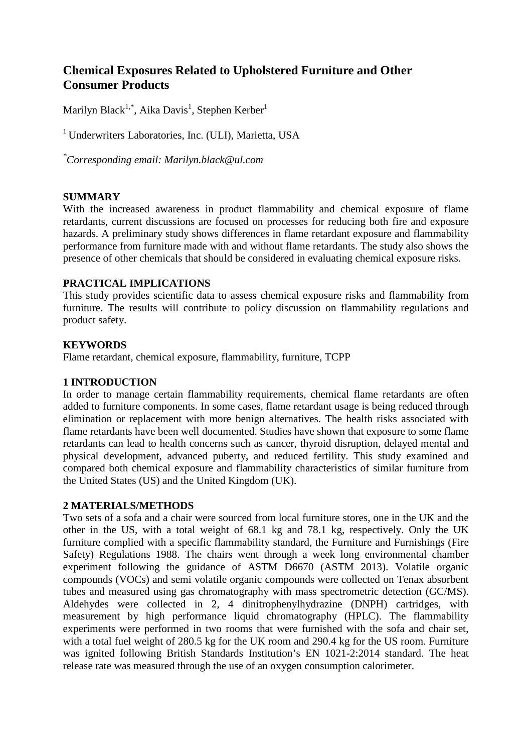# **Chemical Exposures Related to Upholstered Furniture and Other Consumer Products**

Marilyn Black $^{1,*}$ , Aika Davis $^1$ , Stephen Kerber $^1$ 

<sup>1</sup> Underwriters Laboratories, Inc. (ULI), Marietta, USA

*\* Corresponding email: Marilyn.black@ul.com*

## **SUMMARY**

With the increased awareness in product flammability and chemical exposure of flame retardants, current discussions are focused on processes for reducing both fire and exposure hazards. A preliminary study shows differences in flame retardant exposure and flammability performance from furniture made with and without flame retardants. The study also shows the presence of other chemicals that should be considered in evaluating chemical exposure risks.

## **PRACTICAL IMPLICATIONS**

This study provides scientific data to assess chemical exposure risks and flammability from furniture. The results will contribute to policy discussion on flammability regulations and product safety.

# **KEYWORDS**

Flame retardant, chemical exposure, flammability, furniture, TCPP

## **1 INTRODUCTION**

In order to manage certain flammability requirements, chemical flame retardants are often added to furniture components. In some cases, flame retardant usage is being reduced through elimination or replacement with more benign alternatives. The health risks associated with flame retardants have been well documented. Studies have shown that exposure to some flame retardants can lead to health concerns such as cancer, thyroid disruption, delayed mental and physical development, advanced puberty, and reduced fertility. This study examined and compared both chemical exposure and flammability characteristics of similar furniture from the United States (US) and the United Kingdom (UK).

## **2 MATERIALS/METHODS**

Two sets of a sofa and a chair were sourced from local furniture stores, one in the UK and the other in the US, with a total weight of 68.1 kg and 78.1 kg, respectively. Only the UK furniture complied with a specific flammability standard, the Furniture and Furnishings (Fire Safety) Regulations 1988. The chairs went through a week long environmental chamber experiment following the guidance of ASTM D6670 (ASTM 2013). Volatile organic compounds (VOCs) and semi volatile organic compounds were collected on Tenax absorbent tubes and measured using gas chromatography with mass spectrometric detection (GC/MS). Aldehydes were collected in 2, 4 dinitrophenylhydrazine (DNPH) cartridges, with measurement by high performance liquid chromatography (HPLC). The flammability experiments were performed in two rooms that were furnished with the sofa and chair set, with a total fuel weight of 280.5 kg for the UK room and 290.4 kg for the US room. Furniture was ignited following British Standards Institution's EN 1021-2:2014 standard. The heat release rate was measured through the use of an oxygen consumption calorimeter.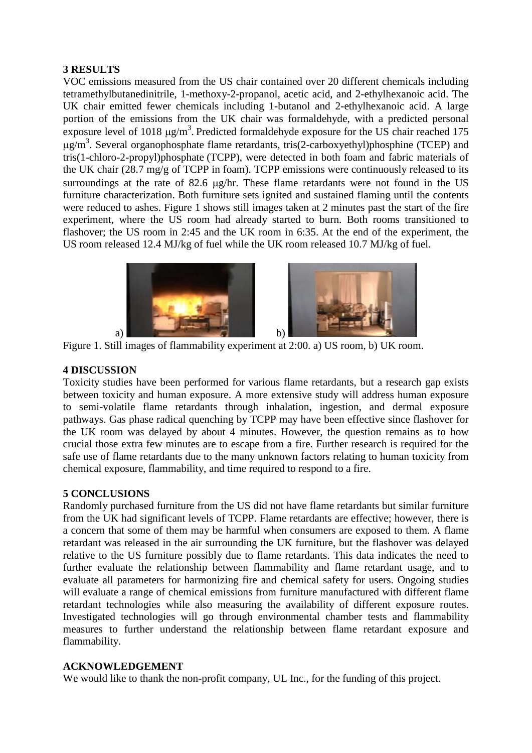# **3 RESULTS**

VOC emissions measured from the US chair contained over 20 different chemicals including tetramethylbutanedinitrile, 1-methoxy-2-propanol, acetic acid, and 2-ethylhexanoic acid. The UK chair emitted fewer chemicals including 1-butanol and 2-ethylhexanoic acid. A large portion of the emissions from the UK chair was formaldehyde, with a predicted personal exposure level of 1018  $\mu$ g/m<sup>3</sup>. Predicted formaldehyde exposure for the US chair reached 175  $\mu$ g/m<sup>3</sup>. Several organophosphate flame retardants, tris(2-carboxyethyl)phosphine (TCEP) and tris(1-chloro-2-propyl)phosphate (TCPP), were detected in both foam and fabric materials of the UK chair (28.7 mg/g of TCPP in foam). TCPP emissions were continuously released to its surroundings at the rate of 82.6  $\mu$ g/hr. These flame retardants were not found in the US furniture characterization. Both furniture sets ignited and sustained flaming until the contents were reduced to ashes. Figure 1 shows still images taken at 2 minutes past the start of the fire experiment, where the US room had already started to burn. Both rooms transitioned to flashover; the US room in 2:45 and the UK room in 6:35. At the end of the experiment, the US room released 12.4 MJ/kg of fuel while the UK room released 10.7 MJ/kg of fuel.



Figure 1. Still images of flammability experiment at 2:00. a) US room, b) UK room.

# **4 DISCUSSION**

Toxicity studies have been performed for various flame retardants, but a research gap exists between toxicity and human exposure. A more extensive study will address human exposure to semi-volatile flame retardants through inhalation, ingestion, and dermal exposure pathways. Gas phase radical quenching by TCPP may have been effective since flashover for the UK room was delayed by about 4 minutes. However, the question remains as to how crucial those extra few minutes are to escape from a fire. Further research is required for the safe use of flame retardants due to the many unknown factors relating to human toxicity from chemical exposure, flammability, and time required to respond to a fire.

# **5 CONCLUSIONS**

Randomly purchased furniture from the US did not have flame retardants but similar furniture from the UK had significant levels of TCPP. Flame retardants are effective; however, there is a concern that some of them may be harmful when consumers are exposed to them. A flame retardant was released in the air surrounding the UK furniture, but the flashover was delayed relative to the US furniture possibly due to flame retardants. This data indicates the need to further evaluate the relationship between flammability and flame retardant usage, and to evaluate all parameters for harmonizing fire and chemical safety for users. Ongoing studies will evaluate a range of chemical emissions from furniture manufactured with different flame retardant technologies while also measuring the availability of different exposure routes. Investigated technologies will go through environmental chamber tests and flammability measures to further understand the relationship between flame retardant exposure and flammability.

## **ACKNOWLEDGEMENT**

We would like to thank the non-profit company, UL Inc., for the funding of this project.